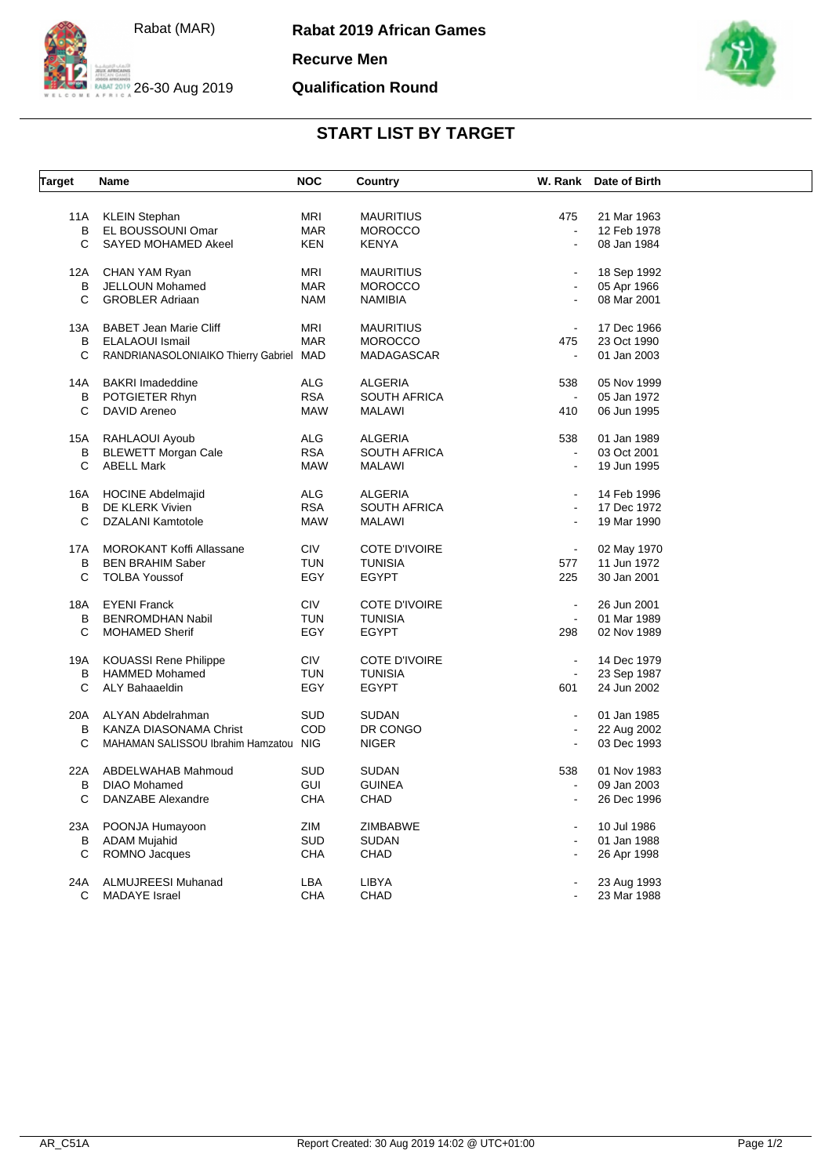

**Rabat 2019 African Games**

**Recurve Men**

## **Qualification Round**



## **START LIST BY TARGET**

| <b>Target</b> | Name                                    | <b>NOC</b> | Country              | W. Rank        | Date of Birth |  |
|---------------|-----------------------------------------|------------|----------------------|----------------|---------------|--|
|               |                                         |            |                      |                |               |  |
| 11A           | <b>KLEIN Stephan</b>                    | <b>MRI</b> | <b>MAURITIUS</b>     | 475            | 21 Mar 1963   |  |
| В             | EL BOUSSOUNI Omar                       | <b>MAR</b> | <b>MOROCCO</b>       | $\mathbf{r}$   | 12 Feb 1978   |  |
| C             | SAYED MOHAMED Akeel                     | <b>KEN</b> | <b>KENYA</b>         | $\mathbf{r}$   | 08 Jan 1984   |  |
| 12A           | CHAN YAM Ryan                           | <b>MRI</b> | <b>MAURITIUS</b>     | $\blacksquare$ | 18 Sep 1992   |  |
| В             | JELLOUN Mohamed                         | <b>MAR</b> | <b>MOROCCO</b>       | $\blacksquare$ | 05 Apr 1966   |  |
| C             | <b>GROBLER Adriaan</b>                  | <b>NAM</b> | <b>NAMIBIA</b>       | $\blacksquare$ | 08 Mar 2001   |  |
| 13A           | <b>BABET Jean Marie Cliff</b>           | <b>MRI</b> | <b>MAURITIUS</b>     | $\blacksquare$ | 17 Dec 1966   |  |
| В             | <b>ELALAOUI Ismail</b>                  | <b>MAR</b> | <b>MOROCCO</b>       | 475            | 23 Oct 1990   |  |
| С             | RANDRIANASOLONIAIKO Thierry Gabriel MAD |            | MADAGASCAR           | $\blacksquare$ | 01 Jan 2003   |  |
| 14A           | <b>BAKRI Imadeddine</b>                 | <b>ALG</b> | <b>ALGERIA</b>       | 538            | 05 Nov 1999   |  |
| В             | POTGIETER Rhyn                          | <b>RSA</b> | <b>SOUTH AFRICA</b>  | $\blacksquare$ | 05 Jan 1972   |  |
| C             | DAVID Areneo                            | <b>MAW</b> | <b>MALAWI</b>        | 410            | 06 Jun 1995   |  |
|               |                                         |            |                      |                |               |  |
| 15A           | RAHLAOUI Ayoub                          | <b>ALG</b> | <b>ALGERIA</b>       | 538            | 01 Jan 1989   |  |
| В             | <b>BLEWETT Morgan Cale</b>              | <b>RSA</b> | <b>SOUTH AFRICA</b>  | $\blacksquare$ | 03 Oct 2001   |  |
| C             | <b>ABELL Mark</b>                       | <b>MAW</b> | <b>MALAWI</b>        | $\mathbf{r}$   | 19 Jun 1995   |  |
| 16A           | <b>HOCINE Abdelmajid</b>                | <b>ALG</b> | <b>ALGERIA</b>       | $\blacksquare$ | 14 Feb 1996   |  |
| В             | DE KLERK Vivien                         | <b>RSA</b> | <b>SOUTH AFRICA</b>  | $\blacksquare$ | 17 Dec 1972   |  |
| C             | DZALANI Kamtotole                       | <b>MAW</b> | MALAWI               |                | 19 Mar 1990   |  |
|               |                                         |            |                      |                |               |  |
| 17A           | <b>MOROKANT Koffi Allassane</b>         | <b>CIV</b> | <b>COTE D'IVOIRE</b> | $\blacksquare$ | 02 May 1970   |  |
| В             | <b>BEN BRAHIM Saber</b>                 | <b>TUN</b> | <b>TUNISIA</b>       | 577            | 11 Jun 1972   |  |
| C             | <b>TOLBA Youssof</b>                    | EGY        | <b>EGYPT</b>         | 225            | 30 Jan 2001   |  |
| 18A           | <b>EYENI Franck</b>                     | <b>CIV</b> | <b>COTE D'IVOIRE</b> | $\blacksquare$ | 26 Jun 2001   |  |
| В             | <b>BENROMDHAN Nabil</b>                 | <b>TUN</b> | <b>TUNISIA</b>       | $\blacksquare$ | 01 Mar 1989   |  |
| С             | <b>MOHAMED Sherif</b>                   | EGY        | <b>EGYPT</b>         | 298            | 02 Nov 1989   |  |
|               |                                         |            |                      |                |               |  |
| 19A           | <b>KOUASSI Rene Philippe</b>            | <b>CIV</b> | <b>COTE D'IVOIRE</b> | $\blacksquare$ | 14 Dec 1979   |  |
| В             | <b>HAMMED Mohamed</b>                   | <b>TUN</b> | <b>TUNISIA</b>       | $\mathbf{r}$   | 23 Sep 1987   |  |
| C             | <b>ALY Bahaaeldin</b>                   | EGY        | <b>EGYPT</b>         | 601            | 24 Jun 2002   |  |
| 20A           | ALYAN Abdelrahman                       | <b>SUD</b> | <b>SUDAN</b>         | $\blacksquare$ | 01 Jan 1985   |  |
| B             | KANZA DIASONAMA Christ                  | COD        | DR CONGO             | $\sim$         | 22 Aug 2002   |  |
| C             | MAHAMAN SALISSOU Ibrahim Hamzatou NIG   |            | <b>NIGER</b>         |                | 03 Dec 1993   |  |
| 22A           | ABDELWAHAB Mahmoud                      | <b>SUD</b> | <b>SUDAN</b>         | 538            | 01 Nov 1983   |  |
| B             | <b>DIAO Mohamed</b>                     | <b>GUI</b> | <b>GUINEA</b>        | $\overline{a}$ | 09 Jan 2003   |  |
| C             | DANZABE Alexandre                       | <b>CHA</b> | CHAD                 | $\sim$         | 26 Dec 1996   |  |
|               |                                         |            |                      |                |               |  |
| 23A           | POONJA Humayoon                         | ZIM        | ZIMBABWE             | $\sim$         | 10 Jul 1986   |  |
| B             | <b>ADAM Mujahid</b>                     | <b>SUD</b> | <b>SUDAN</b>         | $\blacksquare$ | 01 Jan 1988   |  |
| С             | ROMNO Jacques                           | <b>CHA</b> | CHAD                 |                | 26 Apr 1998   |  |
| 24A           | <b>ALMUJREESI Muhanad</b>               | LBA        | LIBYA                |                | 23 Aug 1993   |  |
| C             | <b>MADAYE</b> Israel                    | <b>CHA</b> | CHAD                 |                | 23 Mar 1988   |  |
|               |                                         |            |                      |                |               |  |